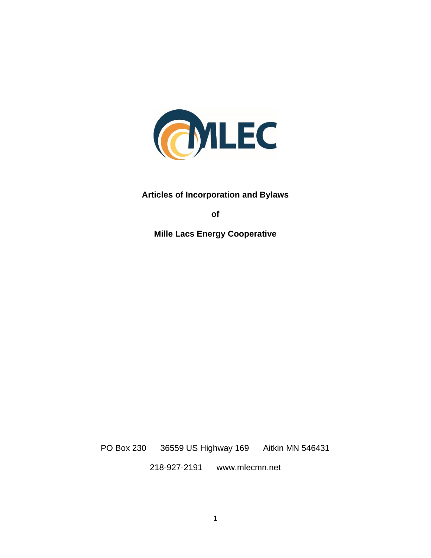

**Articles of Incorporation and Bylaws**

**of** 

**Mille Lacs Energy Cooperative**

PO Box 230 36559 US Highway 169 Aitkin MN 546431

218-927-2191 www.mlecmn.net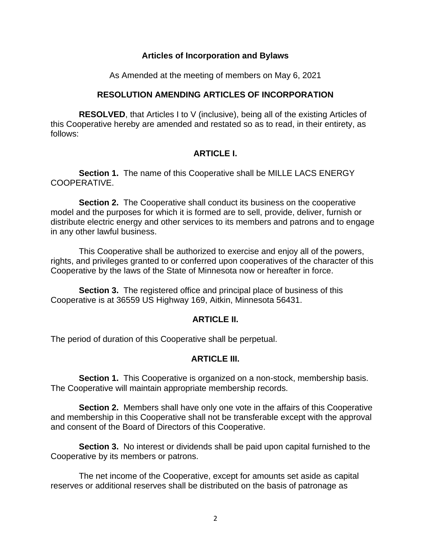#### **Articles of Incorporation and Bylaws**

As Amended at the meeting of members on May 6, 2021

# **RESOLUTION AMENDING ARTICLES OF INCORPORATION**

 **RESOLVED**, that Articles I to V (inclusive), being all of the existing Articles of this Cooperative hereby are amended and restated so as to read, in their entirety, as follows:

# **ARTICLE I.**

 **Section 1.** The name of this Cooperative shall be MILLE LACS ENERGY COOPERATIVE.

 **Section 2.** The Cooperative shall conduct its business on the cooperative model and the purposes for which it is formed are to sell, provide, deliver, furnish or distribute electric energy and other services to its members and patrons and to engage in any other lawful business.

 This Cooperative shall be authorized to exercise and enjoy all of the powers, rights, and privileges granted to or conferred upon cooperatives of the character of this Cooperative by the laws of the State of Minnesota now or hereafter in force.

**Section 3.** The registered office and principal place of business of this Cooperative is at 36559 US Highway 169, Aitkin, Minnesota 56431.

# **ARTICLE II.**

The period of duration of this Cooperative shall be perpetual.

# **ARTICLE III.**

**Section 1.** This Cooperative is organized on a non-stock, membership basis. The Cooperative will maintain appropriate membership records.

 **Section 2.** Members shall have only one vote in the affairs of this Cooperative and membership in this Cooperative shall not be transferable except with the approval and consent of the Board of Directors of this Cooperative.

 **Section 3.** No interest or dividends shall be paid upon capital furnished to the Cooperative by its members or patrons.

 The net income of the Cooperative, except for amounts set aside as capital reserves or additional reserves shall be distributed on the basis of patronage as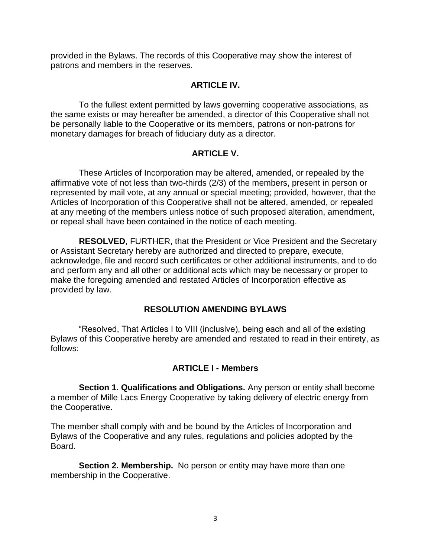provided in the Bylaws. The records of this Cooperative may show the interest of patrons and members in the reserves.

# **ARTICLE IV.**

 To the fullest extent permitted by laws governing cooperative associations, as the same exists or may hereafter be amended, a director of this Cooperative shall not be personally liable to the Cooperative or its members, patrons or non-patrons for monetary damages for breach of fiduciary duty as a director.

# **ARTICLE V.**

 These Articles of Incorporation may be altered, amended, or repealed by the affirmative vote of not less than two-thirds (2/3) of the members, present in person or represented by mail vote, at any annual or special meeting; provided, however, that the Articles of Incorporation of this Cooperative shall not be altered, amended, or repealed at any meeting of the members unless notice of such proposed alteration, amendment, or repeal shall have been contained in the notice of each meeting.

 **RESOLVED**, FURTHER, that the President or Vice President and the Secretary or Assistant Secretary hereby are authorized and directed to prepare, execute, acknowledge, file and record such certificates or other additional instruments, and to do and perform any and all other or additional acts which may be necessary or proper to make the foregoing amended and restated Articles of Incorporation effective as provided by law.

# **RESOLUTION AMENDING BYLAWS**

 "Resolved, That Articles I to VIII (inclusive), being each and all of the existing Bylaws of this Cooperative hereby are amended and restated to read in their entirety, as follows:

# **ARTICLE I - Members**

 **Section 1. Qualifications and Obligations.** Any person or entity shall become a member of Mille Lacs Energy Cooperative by taking delivery of electric energy from the Cooperative.

The member shall comply with and be bound by the Articles of Incorporation and Bylaws of the Cooperative and any rules, regulations and policies adopted by the Board.

**Section 2. Membership.** No person or entity may have more than one membership in the Cooperative.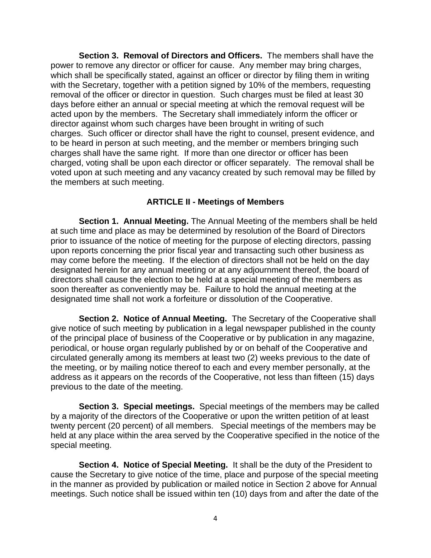**Section 3. Removal of Directors and Officers.** The members shall have the power to remove any director or officer for cause. Any member may bring charges, which shall be specifically stated, against an officer or director by filing them in writing with the Secretary, together with a petition signed by 10% of the members, requesting removal of the officer or director in question. Such charges must be filed at least 30 days before either an annual or special meeting at which the removal request will be acted upon by the members. The Secretary shall immediately inform the officer or director against whom such charges have been brought in writing of such charges. Such officer or director shall have the right to counsel, present evidence, and to be heard in person at such meeting, and the member or members bringing such charges shall have the same right. If more than one director or officer has been charged, voting shall be upon each director or officer separately. The removal shall be voted upon at such meeting and any vacancy created by such removal may be filled by the members at such meeting.

#### **ARTICLE II - Meetings of Members**

 **Section 1. Annual Meeting.** The Annual Meeting of the members shall be held at such time and place as may be determined by resolution of the Board of Directors prior to issuance of the notice of meeting for the purpose of electing directors, passing upon reports concerning the prior fiscal year and transacting such other business as may come before the meeting. If the election of directors shall not be held on the day designated herein for any annual meeting or at any adjournment thereof, the board of directors shall cause the election to be held at a special meeting of the members as soon thereafter as conveniently may be. Failure to hold the annual meeting at the designated time shall not work a forfeiture or dissolution of the Cooperative.

 **Section 2. Notice of Annual Meeting.** The Secretary of the Cooperative shall give notice of such meeting by publication in a legal newspaper published in the county of the principal place of business of the Cooperative or by publication in any magazine, periodical, or house organ regularly published by or on behalf of the Cooperative and circulated generally among its members at least two (2) weeks previous to the date of the meeting, or by mailing notice thereof to each and every member personally, at the address as it appears on the records of the Cooperative, not less than fifteen (15) days previous to the date of the meeting.

 **Section 3. Special meetings.** Special meetings of the members may be called by a majority of the directors of the Cooperative or upon the written petition of at least twenty percent (20 percent) of all members. Special meetings of the members may be held at any place within the area served by the Cooperative specified in the notice of the special meeting.

 **Section 4. Notice of Special Meeting.** It shall be the duty of the President to cause the Secretary to give notice of the time, place and purpose of the special meeting in the manner as provided by publication or mailed notice in Section 2 above for Annual meetings. Such notice shall be issued within ten (10) days from and after the date of the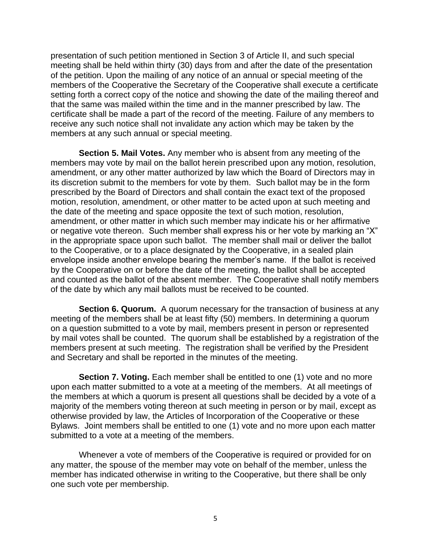presentation of such petition mentioned in Section 3 of Article II, and such special meeting shall be held within thirty (30) days from and after the date of the presentation of the petition. Upon the mailing of any notice of an annual or special meeting of the members of the Cooperative the Secretary of the Cooperative shall execute a certificate setting forth a correct copy of the notice and showing the date of the mailing thereof and that the same was mailed within the time and in the manner prescribed by law. The certificate shall be made a part of the record of the meeting. Failure of any members to receive any such notice shall not invalidate any action which may be taken by the members at any such annual or special meeting.

 **Section 5. Mail Votes.** Any member who is absent from any meeting of the members may vote by mail on the ballot herein prescribed upon any motion, resolution, amendment, or any other matter authorized by law which the Board of Directors may in its discretion submit to the members for vote by them. Such ballot may be in the form prescribed by the Board of Directors and shall contain the exact text of the proposed motion, resolution, amendment, or other matter to be acted upon at such meeting and the date of the meeting and space opposite the text of such motion, resolution, amendment, or other matter in which such member may indicate his or her affirmative or negative vote thereon. Such member shall express his or her vote by marking an "X" in the appropriate space upon such ballot. The member shall mail or deliver the ballot to the Cooperative, or to a place designated by the Cooperative, in a sealed plain envelope inside another envelope bearing the member's name. If the ballot is received by the Cooperative on or before the date of the meeting, the ballot shall be accepted and counted as the ballot of the absent member. The Cooperative shall notify members of the date by which any mail ballots must be received to be counted.

**Section 6. Quorum.** A quorum necessary for the transaction of business at any meeting of the members shall be at least fifty (50) members. In determining a quorum on a question submitted to a vote by mail, members present in person or represented by mail votes shall be counted. The quorum shall be established by a registration of the members present at such meeting. The registration shall be verified by the President and Secretary and shall be reported in the minutes of the meeting.

**Section 7. Voting.** Each member shall be entitled to one (1) vote and no more upon each matter submitted to a vote at a meeting of the members. At all meetings of the members at which a quorum is present all questions shall be decided by a vote of a majority of the members voting thereon at such meeting in person or by mail, except as otherwise provided by law, the Articles of Incorporation of the Cooperative or these Bylaws. Joint members shall be entitled to one (1) vote and no more upon each matter submitted to a vote at a meeting of the members.

 Whenever a vote of members of the Cooperative is required or provided for on any matter, the spouse of the member may vote on behalf of the member, unless the member has indicated otherwise in writing to the Cooperative, but there shall be only one such vote per membership.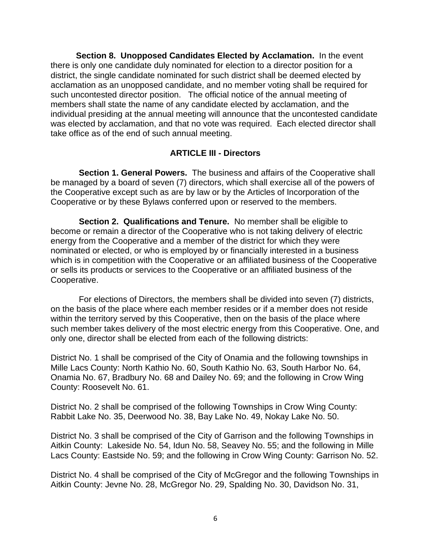**Section 8. Unopposed Candidates Elected by Acclamation.** In the event there is only one candidate duly nominated for election to a director position for a district, the single candidate nominated for such district shall be deemed elected by acclamation as an unopposed candidate, and no member voting shall be required for such uncontested director position. The official notice of the annual meeting of members shall state the name of any candidate elected by acclamation, and the individual presiding at the annual meeting will announce that the uncontested candidate was elected by acclamation, and that no vote was required. Each elected director shall take office as of the end of such annual meeting.

#### **ARTICLE III - Directors**

 **Section 1. General Powers.** The business and affairs of the Cooperative shall be managed by a board of seven (7) directors, which shall exercise all of the powers of the Cooperative except such as are by law or by the Articles of Incorporation of the Cooperative or by these Bylaws conferred upon or reserved to the members.

 **Section 2. Qualifications and Tenure.** No member shall be eligible to become or remain a director of the Cooperative who is not taking delivery of electric energy from the Cooperative and a member of the district for which they were nominated or elected, or who is employed by or financially interested in a business which is in competition with the Cooperative or an affiliated business of the Cooperative or sells its products or services to the Cooperative or an affiliated business of the Cooperative.

 For elections of Directors, the members shall be divided into seven (7) districts, on the basis of the place where each member resides or if a member does not reside within the territory served by this Cooperative, then on the basis of the place where such member takes delivery of the most electric energy from this Cooperative. One, and only one, director shall be elected from each of the following districts:

District No. 1 shall be comprised of the City of Onamia and the following townships in Mille Lacs County: North Kathio No. 60, South Kathio No. 63, South Harbor No. 64, Onamia No. 67, Bradbury No. 68 and Dailey No. 69; and the following in Crow Wing County: Roosevelt No. 61.

District No. 2 shall be comprised of the following Townships in Crow Wing County: Rabbit Lake No. 35, Deerwood No. 38, Bay Lake No. 49, Nokay Lake No. 50.

District No. 3 shall be comprised of the City of Garrison and the following Townships in Aitkin County: Lakeside No. 54, Idun No. 58, Seavey No. 55; and the following in Mille Lacs County: Eastside No. 59; and the following in Crow Wing County: Garrison No. 52.

District No. 4 shall be comprised of the City of McGregor and the following Townships in Aitkin County: Jevne No. 28, McGregor No. 29, Spalding No. 30, Davidson No. 31,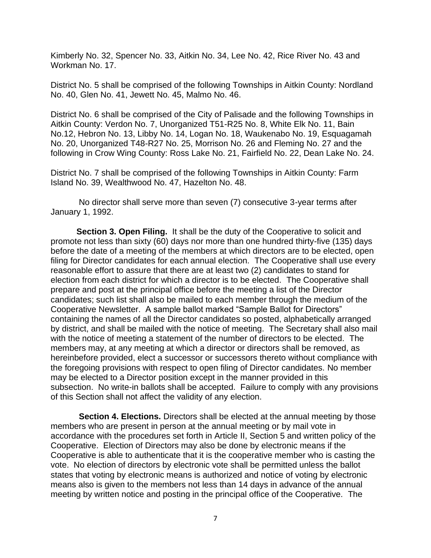Kimberly No. 32, Spencer No. 33, Aitkin No. 34, Lee No. 42, Rice River No. 43 and Workman No. 17.

District No. 5 shall be comprised of the following Townships in Aitkin County: Nordland No. 40, Glen No. 41, Jewett No. 45, Malmo No. 46.

District No. 6 shall be comprised of the City of Palisade and the following Townships in Aitkin County: Verdon No. 7, Unorganized T51-R25 No. 8, White Elk No. 11, Bain No.12, Hebron No. 13, Libby No. 14, Logan No. 18, Waukenabo No. 19, Esquagamah No. 20, Unorganized T48-R27 No. 25, Morrison No. 26 and Fleming No. 27 and the following in Crow Wing County: Ross Lake No. 21, Fairfield No. 22, Dean Lake No. 24.

District No. 7 shall be comprised of the following Townships in Aitkin County: Farm Island No. 39, Wealthwood No. 47, Hazelton No. 48.

 No director shall serve more than seven (7) consecutive 3-year terms after January 1, 1992.

 **Section 3. Open Filing.** It shall be the duty of the Cooperative to solicit and promote not less than sixty (60) days nor more than one hundred thirty-five (135) days before the date of a meeting of the members at which directors are to be elected, open filing for Director candidates for each annual election. The Cooperative shall use every reasonable effort to assure that there are at least two (2) candidates to stand for election from each district for which a director is to be elected. The Cooperative shall prepare and post at the principal office before the meeting a list of the Director candidates; such list shall also be mailed to each member through the medium of the Cooperative Newsletter. A sample ballot marked "Sample Ballot for Directors" containing the names of all the Director candidates so posted, alphabetically arranged by district, and shall be mailed with the notice of meeting. The Secretary shall also mail with the notice of meeting a statement of the number of directors to be elected. The members may, at any meeting at which a director or directors shall be removed, as hereinbefore provided, elect a successor or successors thereto without compliance with the foregoing provisions with respect to open filing of Director candidates. No member may be elected to a Director position except in the manner provided in this subsection. No write-in ballots shall be accepted. Failure to comply with any provisions of this Section shall not affect the validity of any election.

 **Section 4. Elections.** Directors shall be elected at the annual meeting by those members who are present in person at the annual meeting or by mail vote in accordance with the procedures set forth in Article II, Section 5 and written policy of the Cooperative. Election of Directors may also be done by electronic means if the Cooperative is able to authenticate that it is the cooperative member who is casting the vote. No election of directors by electronic vote shall be permitted unless the ballot states that voting by electronic means is authorized and notice of voting by electronic means also is given to the members not less than 14 days in advance of the annual meeting by written notice and posting in the principal office of the Cooperative. The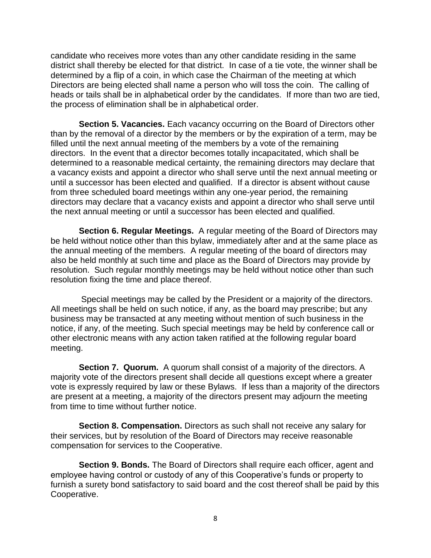candidate who receives more votes than any other candidate residing in the same district shall thereby be elected for that district. In case of a tie vote, the winner shall be determined by a flip of a coin, in which case the Chairman of the meeting at which Directors are being elected shall name a person who will toss the coin. The calling of heads or tails shall be in alphabetical order by the candidates. If more than two are tied, the process of elimination shall be in alphabetical order.

 **Section 5. Vacancies.** Each vacancy occurring on the Board of Directors other than by the removal of a director by the members or by the expiration of a term, may be filled until the next annual meeting of the members by a vote of the remaining directors. In the event that a director becomes totally incapacitated, which shall be determined to a reasonable medical certainty, the remaining directors may declare that a vacancy exists and appoint a director who shall serve until the next annual meeting or until a successor has been elected and qualified. If a director is absent without cause from three scheduled board meetings within any one-year period, the remaining directors may declare that a vacancy exists and appoint a director who shall serve until the next annual meeting or until a successor has been elected and qualified.

 **Section 6. Regular Meetings.** A regular meeting of the Board of Directors may be held without notice other than this bylaw, immediately after and at the same place as the annual meeting of the members. A regular meeting of the board of directors may also be held monthly at such time and place as the Board of Directors may provide by resolution. Such regular monthly meetings may be held without notice other than such resolution fixing the time and place thereof.

 Special meetings may be called by the President or a majority of the directors. All meetings shall be held on such notice, if any, as the board may prescribe; but any business may be transacted at any meeting without mention of such business in the notice, if any, of the meeting. Such special meetings may be held by conference call or other electronic means with any action taken ratified at the following regular board meeting.

 **Section 7. Quorum.** A quorum shall consist of a majority of the directors. A majority vote of the directors present shall decide all questions except where a greater vote is expressly required by law or these Bylaws. If less than a majority of the directors are present at a meeting, a majority of the directors present may adjourn the meeting from time to time without further notice.

 **Section 8. Compensation.** Directors as such shall not receive any salary for their services, but by resolution of the Board of Directors may receive reasonable compensation for services to the Cooperative.

 **Section 9. Bonds.** The Board of Directors shall require each officer, agent and employee having control or custody of any of this Cooperative's funds or property to furnish a surety bond satisfactory to said board and the cost thereof shall be paid by this Cooperative.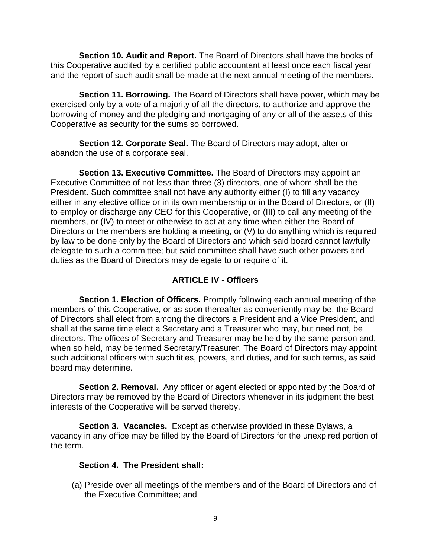**Section 10. Audit and Report.** The Board of Directors shall have the books of this Cooperative audited by a certified public accountant at least once each fiscal year and the report of such audit shall be made at the next annual meeting of the members.

 **Section 11. Borrowing.** The Board of Directors shall have power, which may be exercised only by a vote of a majority of all the directors, to authorize and approve the borrowing of money and the pledging and mortgaging of any or all of the assets of this Cooperative as security for the sums so borrowed.

 **Section 12. Corporate Seal.** The Board of Directors may adopt, alter or abandon the use of a corporate seal.

 **Section 13. Executive Committee.** The Board of Directors may appoint an Executive Committee of not less than three (3) directors, one of whom shall be the President. Such committee shall not have any authority either (I) to fill any vacancy either in any elective office or in its own membership or in the Board of Directors, or (II) to employ or discharge any CEO for this Cooperative, or (III) to call any meeting of the members, or (IV) to meet or otherwise to act at any time when either the Board of Directors or the members are holding a meeting, or (V) to do anything which is required by law to be done only by the Board of Directors and which said board cannot lawfully delegate to such a committee; but said committee shall have such other powers and duties as the Board of Directors may delegate to or require of it.

# **ARTICLE IV - Officers**

 **Section 1. Election of Officers.** Promptly following each annual meeting of the members of this Cooperative, or as soon thereafter as conveniently may be, the Board of Directors shall elect from among the directors a President and a Vice President, and shall at the same time elect a Secretary and a Treasurer who may, but need not, be directors. The offices of Secretary and Treasurer may be held by the same person and, when so held, may be termed Secretary/Treasurer. The Board of Directors may appoint such additional officers with such titles, powers, and duties, and for such terms, as said board may determine.

**Section 2. Removal.** Any officer or agent elected or appointed by the Board of Directors may be removed by the Board of Directors whenever in its judgment the best interests of the Cooperative will be served thereby.

 **Section 3. Vacancies.** Except as otherwise provided in these Bylaws, a vacancy in any office may be filled by the Board of Directors for the unexpired portion of the term.

#### **Section 4. The President shall:**

(a) Preside over all meetings of the members and of the Board of Directors and of the Executive Committee; and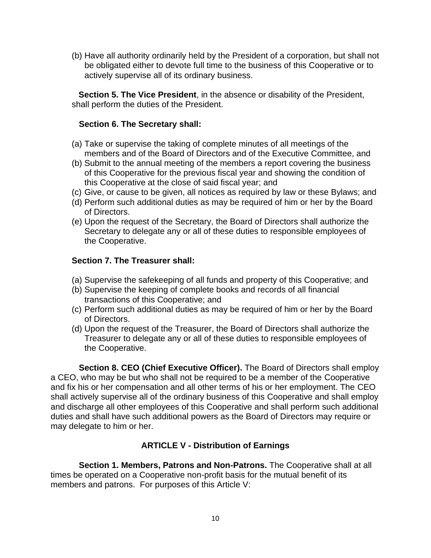(b) Have all authority ordinarily held by the President of a corporation, but shall not be obligated either to devote full time to the business of this Cooperative or to actively supervise all of its ordinary business.

**Section 5. The Vice President**, in the absence or disability of the President, shall perform the duties of the President.

# **Section 6. The Secretary shall:**

- (a) Take or supervise the taking of complete minutes of all meetings of the members and of the Board of Directors and of the Executive Committee, and
- (b) Submit to the annual meeting of the members a report covering the business of this Cooperative for the previous fiscal year and showing the condition of this Cooperative at the close of said fiscal year; and
- (c) Give, or cause to be given, all notices as required by law or these Bylaws; and
- (d) Perform such additional duties as may be required of him or her by the Board of Directors.
- (e) Upon the request of the Secretary, the Board of Directors shall authorize the Secretary to delegate any or all of these duties to responsible employees of the Cooperative.

# **Section 7. The Treasurer shall:**

- (a) Supervise the safekeeping of all funds and property of this Cooperative; and
- (b) Supervise the keeping of complete books and records of all financial transactions of this Cooperative; and
- (c) Perform such additional duties as may be required of him or her by the Board of Directors.
- (d) Upon the request of the Treasurer, the Board of Directors shall authorize the Treasurer to delegate any or all of these duties to responsible employees of the Cooperative.

 **Section 8. CEO (Chief Executive Officer).** The Board of Directors shall employ a CEO, who may be but who shall not be required to be a member of the Cooperative and fix his or her compensation and all other terms of his or her employment. The CEO shall actively supervise all of the ordinary business of this Cooperative and shall employ and discharge all other employees of this Cooperative and shall perform such additional duties and shall have such additional powers as the Board of Directors may require or may delegate to him or her.

# **ARTICLE V - Distribution of Earnings**

 **Section 1. Members, Patrons and Non-Patrons.** The Cooperative shall at all times be operated on a Cooperative non-profit basis for the mutual benefit of its members and patrons. For purposes of this Article V: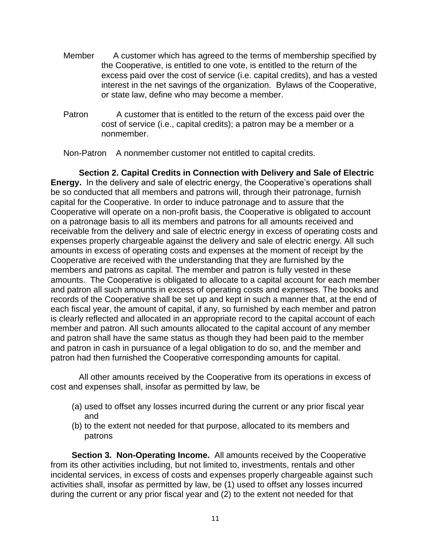- Member A customer which has agreed to the terms of membership specified by the Cooperative, is entitled to one vote, is entitled to the return of the excess paid over the cost of service (i.e. capital credits), and has a vested interest in the net savings of the organization. Bylaws of the Cooperative, or state law, define who may become a member.
- Patron A customer that is entitled to the return of the excess paid over the cost of service (i.e., capital credits); a patron may be a member or a nonmember.

Non-Patron A nonmember customer not entitled to capital credits.

 **Section 2. Capital Credits in Connection with Delivery and Sale of Electric Energy.** In the delivery and sale of electric energy, the Cooperative's operations shall be so conducted that all members and patrons will, through their patronage, furnish capital for the Cooperative. In order to induce patronage and to assure that the Cooperative will operate on a non-profit basis, the Cooperative is obligated to account on a patronage basis to all its members and patrons for all amounts received and receivable from the delivery and sale of electric energy in excess of operating costs and expenses properly chargeable against the delivery and sale of electric energy. All such amounts in excess of operating costs and expenses at the moment of receipt by the Cooperative are received with the understanding that they are furnished by the members and patrons as capital. The member and patron is fully vested in these amounts. The Cooperative is obligated to allocate to a capital account for each member and patron all such amounts in excess of operating costs and expenses. The books and records of the Cooperative shall be set up and kept in such a manner that, at the end of each fiscal year, the amount of capital, if any, so furnished by each member and patron is clearly reflected and allocated in an appropriate record to the capital account of each member and patron. All such amounts allocated to the capital account of any member and patron shall have the same status as though they had been paid to the member and patron in cash in pursuance of a legal obligation to do so, and the member and patron had then furnished the Cooperative corresponding amounts for capital.

 All other amounts received by the Cooperative from its operations in excess of cost and expenses shall, insofar as permitted by law, be

- (a) used to offset any losses incurred during the current or any prior fiscal year and
- (b) to the extent not needed for that purpose, allocated to its members and patrons

**Section 3. Non-Operating Income.** All amounts received by the Cooperative from its other activities including, but not limited to, investments, rentals and other incidental services, in excess of costs and expenses properly chargeable against such activities shall, insofar as permitted by law, be (1) used to offset any losses incurred during the current or any prior fiscal year and (2) to the extent not needed for that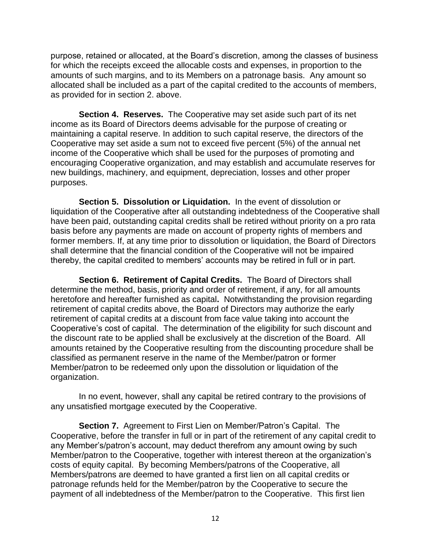purpose, retained or allocated, at the Board's discretion, among the classes of business for which the receipts exceed the allocable costs and expenses, in proportion to the amounts of such margins, and to its Members on a patronage basis. Any amount so allocated shall be included as a part of the capital credited to the accounts of members, as provided for in section 2. above.

 **Section 4. Reserves.** The Cooperative may set aside such part of its net income as its Board of Directors deems advisable for the purpose of creating or maintaining a capital reserve. In addition to such capital reserve, the directors of the Cooperative may set aside a sum not to exceed five percent (5%) of the annual net income of the Cooperative which shall be used for the purposes of promoting and encouraging Cooperative organization, and may establish and accumulate reserves for new buildings, machinery, and equipment, depreciation, losses and other proper purposes.

 **Section 5. Dissolution or Liquidation.** In the event of dissolution or liquidation of the Cooperative after all outstanding indebtedness of the Cooperative shall have been paid, outstanding capital credits shall be retired without priority on a pro rata basis before any payments are made on account of property rights of members and former members. If, at any time prior to dissolution or liquidation, the Board of Directors shall determine that the financial condition of the Cooperative will not be impaired thereby, the capital credited to members' accounts may be retired in full or in part.

 **Section 6. Retirement of Capital Credits.** The Board of Directors shall determine the method, basis, priority and order of retirement, if any, for all amounts heretofore and hereafter furnished as capital**.** Notwithstanding the provision regarding retirement of capital credits above, the Board of Directors may authorize the early retirement of capital credits at a discount from face value taking into account the Cooperative's cost of capital. The determination of the eligibility for such discount and the discount rate to be applied shall be exclusively at the discretion of the Board. All amounts retained by the Cooperative resulting from the discounting procedure shall be classified as permanent reserve in the name of the Member/patron or former Member/patron to be redeemed only upon the dissolution or liquidation of the organization.

 In no event, however, shall any capital be retired contrary to the provisions of any unsatisfied mortgage executed by the Cooperative.

 **Section 7.** Agreement to First Lien on Member/Patron's Capital. The Cooperative, before the transfer in full or in part of the retirement of any capital credit to any Member's/patron's account, may deduct therefrom any amount owing by such Member/patron to the Cooperative, together with interest thereon at the organization's costs of equity capital. By becoming Members/patrons of the Cooperative, all Members/patrons are deemed to have granted a first lien on all capital credits or patronage refunds held for the Member/patron by the Cooperative to secure the payment of all indebtedness of the Member/patron to the Cooperative. This first lien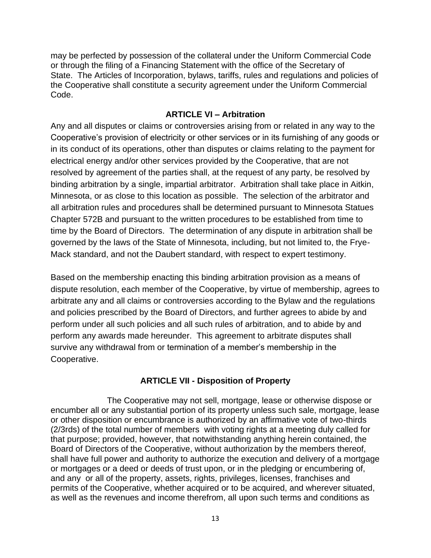may be perfected by possession of the collateral under the Uniform Commercial Code or through the filing of a Financing Statement with the office of the Secretary of State. The Articles of Incorporation, bylaws, tariffs, rules and regulations and policies of the Cooperative shall constitute a security agreement under the Uniform Commercial Code.

#### **ARTICLE VI – Arbitration**

Any and all disputes or claims or controversies arising from or related in any way to the Cooperative's provision of electricity or other services or in its furnishing of any goods or in its conduct of its operations, other than disputes or claims relating to the payment for electrical energy and/or other services provided by the Cooperative, that are not resolved by agreement of the parties shall, at the request of any party, be resolved by binding arbitration by a single, impartial arbitrator. Arbitration shall take place in Aitkin, Minnesota, or as close to this location as possible. The selection of the arbitrator and all arbitration rules and procedures shall be determined pursuant to Minnesota Statues Chapter 572B and pursuant to the written procedures to be established from time to time by the Board of Directors. The determination of any dispute in arbitration shall be governed by the laws of the State of Minnesota, including, but not limited to, the Frye-Mack standard, and not the Daubert standard, with respect to expert testimony.

Based on the membership enacting this binding arbitration provision as a means of dispute resolution, each member of the Cooperative, by virtue of membership, agrees to arbitrate any and all claims or controversies according to the Bylaw and the regulations and policies prescribed by the Board of Directors, and further agrees to abide by and perform under all such policies and all such rules of arbitration, and to abide by and perform any awards made hereunder. This agreement to arbitrate disputes shall survive any withdrawal from or termination of a member's membership in the Cooperative.

# **ARTICLE VII - Disposition of Property**

 The Cooperative may not sell, mortgage, lease or otherwise dispose or encumber all or any substantial portion of its property unless such sale, mortgage, lease or other disposition or encumbrance is authorized by an affirmative vote of two-thirds (2/3rds) of the total number of members with voting rights at a meeting duly called for that purpose; provided, however, that notwithstanding anything herein contained, the Board of Directors of the Cooperative, without authorization by the members thereof, shall have full power and authority to authorize the execution and delivery of a mortgage or mortgages or a deed or deeds of trust upon, or in the pledging or encumbering of, and any or all of the property, assets, rights, privileges, licenses, franchises and permits of the Cooperative, whether acquired or to be acquired, and wherever situated, as well as the revenues and income therefrom, all upon such terms and conditions as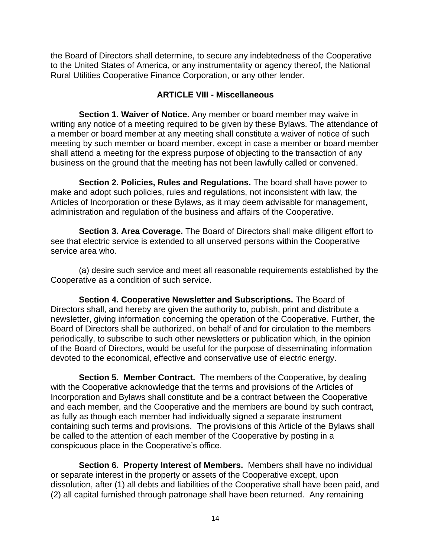the Board of Directors shall determine, to secure any indebtedness of the Cooperative to the United States of America, or any instrumentality or agency thereof, the National Rural Utilities Cooperative Finance Corporation, or any other lender.

# **ARTICLE VIII - Miscellaneous**

 **Section 1. Waiver of Notice.** Any member or board member may waive in writing any notice of a meeting required to be given by these Bylaws. The attendance of a member or board member at any meeting shall constitute a waiver of notice of such meeting by such member or board member, except in case a member or board member shall attend a meeting for the express purpose of objecting to the transaction of any business on the ground that the meeting has not been lawfully called or convened.

 **Section 2. Policies, Rules and Regulations.** The board shall have power to make and adopt such policies, rules and regulations, not inconsistent with law, the Articles of Incorporation or these Bylaws, as it may deem advisable for management, administration and regulation of the business and affairs of the Cooperative.

 **Section 3. Area Coverage.** The Board of Directors shall make diligent effort to see that electric service is extended to all unserved persons within the Cooperative service area who.

 (a) desire such service and meet all reasonable requirements established by the Cooperative as a condition of such service.

 **Section 4. Cooperative Newsletter and Subscriptions.** The Board of Directors shall, and hereby are given the authority to, publish, print and distribute a newsletter, giving information concerning the operation of the Cooperative. Further, the Board of Directors shall be authorized, on behalf of and for circulation to the members periodically, to subscribe to such other newsletters or publication which, in the opinion of the Board of Directors, would be useful for the purpose of disseminating information devoted to the economical, effective and conservative use of electric energy.

 **Section 5. Member Contract.** The members of the Cooperative, by dealing with the Cooperative acknowledge that the terms and provisions of the Articles of Incorporation and Bylaws shall constitute and be a contract between the Cooperative and each member, and the Cooperative and the members are bound by such contract, as fully as though each member had individually signed a separate instrument containing such terms and provisions. The provisions of this Article of the Bylaws shall be called to the attention of each member of the Cooperative by posting in a conspicuous place in the Cooperative's office.

 **Section 6. Property Interest of Members.** Members shall have no individual or separate interest in the property or assets of the Cooperative except, upon dissolution, after (1) all debts and liabilities of the Cooperative shall have been paid, and (2) all capital furnished through patronage shall have been returned. Any remaining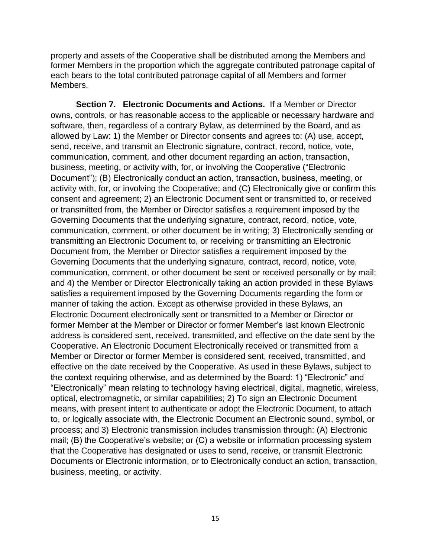property and assets of the Cooperative shall be distributed among the Members and former Members in the proportion which the aggregate contributed patronage capital of each bears to the total contributed patronage capital of all Members and former Members.

**Section 7. Electronic Documents and Actions.** If a Member or Director owns, controls, or has reasonable access to the applicable or necessary hardware and software, then, regardless of a contrary Bylaw, as determined by the Board, and as allowed by Law: 1) the Member or Director consents and agrees to: (A) use, accept, send, receive, and transmit an Electronic signature, contract, record, notice, vote, communication, comment, and other document regarding an action, transaction, business, meeting, or activity with, for, or involving the Cooperative ("Electronic Document"); (B) Electronically conduct an action, transaction, business, meeting, or activity with, for, or involving the Cooperative; and (C) Electronically give or confirm this consent and agreement; 2) an Electronic Document sent or transmitted to, or received or transmitted from, the Member or Director satisfies a requirement imposed by the Governing Documents that the underlying signature, contract, record, notice, vote, communication, comment, or other document be in writing; 3) Electronically sending or transmitting an Electronic Document to, or receiving or transmitting an Electronic Document from, the Member or Director satisfies a requirement imposed by the Governing Documents that the underlying signature, contract, record, notice, vote, communication, comment, or other document be sent or received personally or by mail; and 4) the Member or Director Electronically taking an action provided in these Bylaws satisfies a requirement imposed by the Governing Documents regarding the form or manner of taking the action. Except as otherwise provided in these Bylaws, an Electronic Document electronically sent or transmitted to a Member or Director or former Member at the Member or Director or former Member's last known Electronic address is considered sent, received, transmitted, and effective on the date sent by the Cooperative. An Electronic Document Electronically received or transmitted from a Member or Director or former Member is considered sent, received, transmitted, and effective on the date received by the Cooperative. As used in these Bylaws, subject to the context requiring otherwise, and as determined by the Board: 1) "Electronic" and "Electronically" mean relating to technology having electrical, digital, magnetic, wireless, optical, electromagnetic, or similar capabilities; 2) To sign an Electronic Document means, with present intent to authenticate or adopt the Electronic Document, to attach to, or logically associate with, the Electronic Document an Electronic sound, symbol, or process; and 3) Electronic transmission includes transmission through: (A) Electronic mail; (B) the Cooperative's website; or (C) a website or information processing system that the Cooperative has designated or uses to send, receive, or transmit Electronic Documents or Electronic information, or to Electronically conduct an action, transaction, business, meeting, or activity.